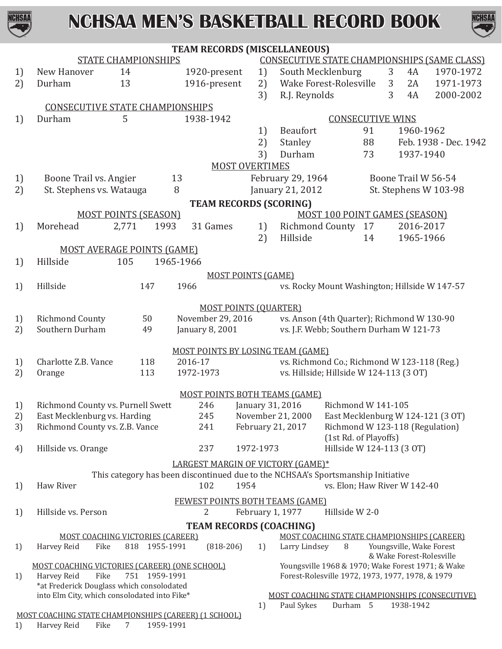



|    |                                                                      |                                                                                  | TEAM RECORDS (MISCELLANEOUS)           |                               |                   |                                                                                                       |                |                          |                                                     |
|----|----------------------------------------------------------------------|----------------------------------------------------------------------------------|----------------------------------------|-------------------------------|-------------------|-------------------------------------------------------------------------------------------------------|----------------|--------------------------|-----------------------------------------------------|
|    |                                                                      | <b>STATE CHAMPIONSHIPS</b>                                                       |                                        |                               |                   |                                                                                                       |                |                          | <b>CONSECUTIVE STATE CHAMPIONSHIPS (SAME CLASS)</b> |
| 1) | New Hanover                                                          | 14                                                                               | 1920-present                           | 1)                            |                   | South Mecklenburg                                                                                     | 3              | 4A                       | 1970-1972                                           |
| 2) | Durham                                                               | 13                                                                               | 1916-present                           | 2)                            |                   | Wake Forest-Rolesville                                                                                | $\mathfrak{Z}$ | 2A                       | 1971-1973                                           |
|    |                                                                      |                                                                                  |                                        | 3)                            | R.J. Reynolds     |                                                                                                       | 3              | 4A                       | 2000-2002                                           |
|    | <b>CONSECUTIVE STATE CHAMPIONSHIPS</b>                               |                                                                                  |                                        |                               |                   |                                                                                                       |                |                          |                                                     |
| 1) | Durham                                                               | 5                                                                                | 1938-1942                              |                               |                   | <b>CONSECUTIVE WINS</b>                                                                               |                |                          |                                                     |
|    |                                                                      |                                                                                  |                                        | 1)                            | <b>Beaufort</b>   | 91                                                                                                    |                | 1960-1962                |                                                     |
|    |                                                                      |                                                                                  |                                        | 2)                            | Stanley           | 88                                                                                                    |                |                          | Feb. 1938 - Dec. 1942                               |
|    |                                                                      |                                                                                  |                                        | 3)                            | Durham            | 73                                                                                                    |                | 1937-1940                |                                                     |
|    |                                                                      |                                                                                  |                                        | <b>MOST OVERTIMES</b>         |                   |                                                                                                       |                |                          |                                                     |
| 1) | Boone Trail vs. Angier                                               |                                                                                  | 13                                     |                               | February 29, 1964 |                                                                                                       |                | Boone Trail W 56-54      |                                                     |
| 2) | St. Stephens vs. Watauga                                             |                                                                                  | 8                                      |                               | January 21, 2012  |                                                                                                       |                |                          | St. Stephens W 103-98                               |
|    |                                                                      |                                                                                  |                                        | <b>TEAM RECORDS (SCORING)</b> |                   |                                                                                                       |                |                          |                                                     |
|    |                                                                      | <b>MOST POINTS (SEASON)</b>                                                      |                                        |                               |                   | <b>MOST 100 POINT GAMES (SEASON)</b>                                                                  |                |                          |                                                     |
| 1) | Morehead                                                             | 2,771<br>1993                                                                    | 31 Games                               | 1)                            |                   | Richmond County 17                                                                                    |                | 2016-2017                |                                                     |
|    |                                                                      |                                                                                  |                                        | 2)                            | Hillside          | 14                                                                                                    |                | 1965-1966                |                                                     |
|    |                                                                      | <b>MOST AVERAGE POINTS (GAME)</b>                                                |                                        |                               |                   |                                                                                                       |                |                          |                                                     |
| 1) | Hillside                                                             | 105                                                                              | 1965-1966                              |                               |                   |                                                                                                       |                |                          |                                                     |
|    |                                                                      |                                                                                  |                                        | <b>MOST POINTS (GAME)</b>     |                   |                                                                                                       |                |                          |                                                     |
| 1) | Hillside                                                             | 147                                                                              | 1966                                   |                               |                   | vs. Rocky Mount Washington; Hillside W 147-57                                                         |                |                          |                                                     |
|    |                                                                      |                                                                                  |                                        | <b>MOST POINTS (QUARTER)</b>  |                   |                                                                                                       |                |                          |                                                     |
| 1) | <b>Richmond County</b>                                               | 50                                                                               | November 29, 2016                      |                               |                   | vs. Anson (4th Quarter); Richmond W 130-90                                                            |                |                          |                                                     |
| 2) | Southern Durham                                                      | 49                                                                               | January 8, 2001                        |                               |                   | vs. J.F. Webb; Southern Durham W 121-73                                                               |                |                          |                                                     |
|    |                                                                      |                                                                                  |                                        |                               |                   |                                                                                                       |                |                          |                                                     |
|    |                                                                      |                                                                                  | MOST POINTS BY LOSING TEAM (GAME)      |                               |                   |                                                                                                       |                |                          |                                                     |
| 1) | Charlotte Z.B. Vance                                                 | 118                                                                              | 2016-17                                |                               |                   | vs. Richmond Co.; Richmond W 123-118 (Reg.)                                                           |                |                          |                                                     |
| 2) | Orange                                                               | 113                                                                              | 1972-1973                              |                               |                   | vs. Hillside; Hillside W 124-113 (3 OT)                                                               |                |                          |                                                     |
|    |                                                                      |                                                                                  | <b>MOST POINTS BOTH TEAMS (GAME)</b>   |                               |                   |                                                                                                       |                |                          |                                                     |
| 1) | Richmond County vs. Purnell Swett                                    |                                                                                  | 246                                    | January 31, 2016              |                   | Richmond W 141-105                                                                                    |                |                          |                                                     |
| 2) | East Mecklenburg vs. Harding                                         |                                                                                  | 245                                    |                               | November 21, 2000 | East Mecklenburg W 124-121 (3 OT)                                                                     |                |                          |                                                     |
| 3) | Richmond County vs. Z.B. Vance                                       |                                                                                  | 241                                    | February 21, 2017             |                   | Richmond W 123-118 (Regulation)                                                                       |                |                          |                                                     |
|    |                                                                      |                                                                                  |                                        |                               |                   | (1st Rd. of Playoffs)                                                                                 |                |                          |                                                     |
| 4) | Hillside vs. Orange                                                  |                                                                                  | 237                                    | 1972-1973                     |                   | Hillside W 124-113 (3 OT)                                                                             |                |                          |                                                     |
|    |                                                                      |                                                                                  | LARGEST MARGIN OF VICTORY (GAME)*      |                               |                   |                                                                                                       |                |                          |                                                     |
|    |                                                                      | This category has been discontinued due to the NCHSAA's Sportsmanship Initiative |                                        |                               |                   |                                                                                                       |                |                          |                                                     |
| 1) | Haw River                                                            |                                                                                  | 102                                    | 1954                          |                   | vs. Elon; Haw River W 142-40                                                                          |                |                          |                                                     |
|    |                                                                      |                                                                                  | <b>FEWEST POINTS BOTH TEAMS (GAME)</b> |                               |                   |                                                                                                       |                |                          |                                                     |
| 1) | Hillside vs. Person                                                  |                                                                                  | 2                                      | February 1, 1977              |                   | Hillside W 2-0                                                                                        |                |                          |                                                     |
|    |                                                                      |                                                                                  | <b>TEAM RECORDS (COACHING)</b>         |                               |                   |                                                                                                       |                |                          |                                                     |
|    |                                                                      | <b>MOST COACHING VICTORIES (CAREER)</b>                                          |                                        |                               |                   | MOST COACHING STATE CHAMPIONSHIPS (CAREER)                                                            |                |                          |                                                     |
| 1) | Harvey Reid<br>Fike                                                  | 1955-1991<br>818                                                                 | $(818-206)$                            | 1)                            | Larry Lindsey     | 8                                                                                                     |                | Youngsville, Wake Forest |                                                     |
|    |                                                                      |                                                                                  |                                        |                               |                   |                                                                                                       |                | & Wake Forest-Rolesville |                                                     |
|    | MOST COACHING VICTORIES (CAREER) (ONE SCHOOL)<br>Harvey Reid<br>Fike | 751<br>1959-1991                                                                 |                                        |                               |                   | Youngsville 1968 & 1970; Wake Forest 1971; & Wake<br>Forest-Rolesville 1972, 1973, 1977, 1978, & 1979 |                |                          |                                                     |
| 1) | *at Frederick Douglass which consolodated                            |                                                                                  |                                        |                               |                   |                                                                                                       |                |                          |                                                     |
|    | into Elm City, which consolodated into Fike*                         |                                                                                  |                                        |                               |                   | MOST COACHING STATE CHAMPIONSHIPS (CONSECUTIVE)                                                       |                |                          |                                                     |
|    |                                                                      |                                                                                  |                                        | 1)                            | Paul Sykes        | Durham 5                                                                                              |                | 1938-1942                |                                                     |
|    | MOST COACHING STATE CHAMPIONSHIPS (CAREER) (1 SCHOOL)                |                                                                                  |                                        |                               |                   |                                                                                                       |                |                          |                                                     |
| 1) | Harvey Reid<br>Fike                                                  | 1959-1991<br>7                                                                   |                                        |                               |                   |                                                                                                       |                |                          |                                                     |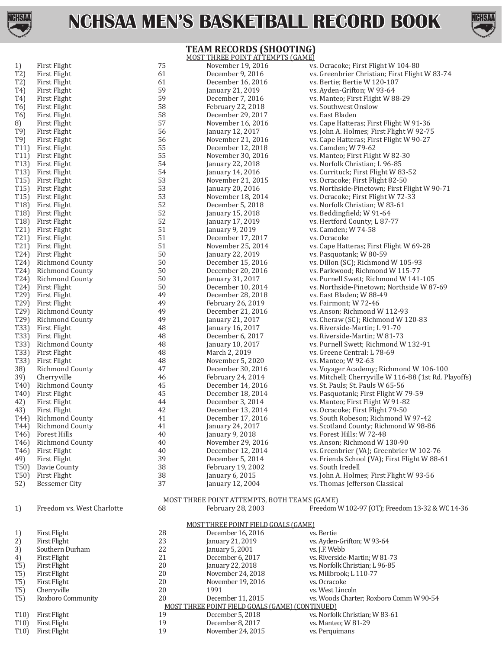

**TEAM RECORDS (SHOOTING)**



#### MOST THREE POINT ATTEMPTS (GAME)<br>November 19, 2016 vs 1) First Flight 19, 2016 vs. Ocracoke; First Flight W 104-80<br>T2) First Flight 104-80<br>T2) First Flight 104-80 61 becember 9, 2016 vs. Greenbrier Christian; First Flight T2) First Flight 61 becember 9, 2016 vs. Greenbrier Christian; First Flight W 83-74<br>T2) First Flight 61 becember 16, 2016 vs. Bertie; Bertie W 120-107 T2) First Flight 61 December 16, 2016 vs. Bertie; Bertie W 120-107 T4) First Flight 59 January 21, 2019 vs. Ayden-Grifton; W 93-64<br>T4) First Flight 59 December 7, 2016 vs. Manteo; First Flight W 8 T4) First Flight 59 December 7, 2016 vs. Manteo; First Flight W 88-29<br>T6) First Flight 58 February 22, 2018 vs. Southwest Onslow T6) First Flight 58 February 22, 2018 vs. Southwest Onslow T6) First Flight 58 December 29, 2017 vs. East Bladen 8) First Flight 57 57 November 16, 2016 vs. Cape Hatteras; First Flight W 91-36<br>
T9) First Flight 192-7! 56 56 January 12, 2017 vs. John A. Holmes; First Flight W 92-7! T9) First Flight 56 January 12, 2017 vs. John A. Holmes; First Flight W 92-75 T9) First Flight 56 56 November 21, 2016 vs. Cape Hatteras; First Flight W 90-27<br>T11) First Flight 55 December 12, 2018 vs. Camden; W 79-62 T11) First Flight T11 birst Flight 55 December 12, 2018 vs. Camden; W 79-62<br>T11) First Flight 55 November 30, 2016 vs. Manteo; First Flight T11) First Flight 55 November 30, 2016 vs. Manteo; First Flight W 82-30 T13) First Flight 54 January 22, 2018 vs. Norfolk Christian; L 96-85<br>T13) First Flight 54 January 14, 2016 vs. Currituck; First Flight W 8 T13) First Flight 54 54 January 14, 2016 vs. Currituck; First Flight W 83-52<br>T15) First Flight 53 November 21, 2015 vs. Ocracoke; First Flight 82-50 T15) First Flight 53 53 November 21, 2015 vs. Ocracoke; First Flight 82-50<br>T15) First Flight 53 53 January 20, 2016 vs. Northside-Pinetown; First F T15) First Flight T15 First Flight 153 53 January 20, 2016 vs. Northside-Pinetown; First Flight W 90-71<br>T15) First Flight 153 53 November 18, 2014 vs. Ocracoke: First Flight W 72-33 T15) First Flight 53 53 November 18, 2014 vs. Ocracoke; First Flight W 72-33<br>T18) First Flight 52 December 5, 2018 vs. Norfolk Christian; W 83-61 T18) First Flight 52 December 5, 2018 vs. Norfolk Christian; W 83-61 T18) First Flight 52 January 15, 2018 vs. Beddingfield; W 91-64 T18) First Flight 52 January 17, 2019 vs. Hertford County; L 87-77 T21) First Flight 51 January 9, 2019 vs. Camden; W 74-58<br>T21) First Flight 51 December 17, 2017 vs. Ocracoke T21) First Flight 51 December 17, 2017<br>T21) First Flight 51 November 25, 2014 T21) First Flight 51 51 November 25, 2014 vs. Cape Hatteras; First Flight W 69-28<br>T24) First Flight 50 59 January 22, 2019 vs. Pasquotank; W 80-59 T24) First Flight 50 50 January 22, 2019 vs. Pasquotank; W 80-59<br>T24) Richmond County 50 50 December 15, 2016 vs. Dillon (SC); Richmond T24) Richmond County 50 December 15, 2016 vs. Dillon (SC); Richmond W 105-93 T24) Richmond County 50 December 20, 2016 vs. Parkwood; Richmond W 115-77<br>T24) Richmond County 50 January 31, 2017 vs. Purnell Swett; Richmond W 141 T24) Richmond County 50 50 January 31, 2017 vs. Purnell Swett; Richmond W 141-105<br>T24) First Flight 50 50 December 10, 2014 vs. Northside-Pinetown; Northside W 87 T24) First Flight 50 50 December 10, 2014 vs. Northside-Pinetown; Northside W 87-69<br>T29) First Flight 49 December 28, 2018 vs. East Bladen; W 88-49 T29) First Flight 19 19 49 December 28, 2018 vs. East Bladen; W 88-49<br>T29) First Flight 19 49 February 26, 2019 vs. Fairmont; W 72-46 T29) First Flight 120 February 26, 2019 vs. Fairmont; W 72-46<br>T29) Richmond County 120 February 26, 2016 vs. Anson; Richmond W T29) Richmond County 49 December 21, 2016 vs. Anson; Richmond W 112-93 T29) Richmond County **49** January 21, 2017 vs. Cheraw (SC); Richmond W 120-83<br>T33) First Flight **48** January 16, 2017 vs. Riverside-Martin; L 91-70 T33) First Flight 191-70<br>T33) First Flight 191-70<br>48 December 6, 2017 vs. Riverside-Martin; W 81-73 T33) First Flight 10 1733 and the section of the 48 December 6, 2017 133 vs. Riverside-Martin; W 81-73<br>T33) Richmond County 10, 2017 vs. Purnell Swett; Richmond W T33) Richmond County **48** January 10, 2017 vs. Purnell Swett; Richmond W 132-91<br>T33) First Flight **48** March 2, 2019 vs. Greene Central: L 78-69 T33) First Flight 48 March 2, 2019 vs. Greene Central: L 78-69 T33) First Flight 10 and the 48 November 5, 2020 vs. Manteo; W 92-63<br>
1981 - The County of the County 1920 vs. Voyager Academy 38) Richmond County 47 December 30, 2016 vs. Voyager Academy; Richmond W 106-100 39) Cherryville 115 and the 46 February 24, 2014 vs. Mitchell; Cherryville W 116-88 (1st Rd. Playoffs)<br>140) Richmond County 15 45 December 14, 2016 vs. St. Pauls: St. Pauls W 65-56 T40) Richmond County 45 December 14, 2016 vs. St. Pauls; St. Pauls W 65-56 T40) First Flight 45 December 18, 2014 vs. Pasquotank; First Flight W 79-59 42) First Flight 44 December 3, 2014 vs. Manteo; First Flight W 91-82 43) First Flight 19-50<br>
42 December 13, 2014 vs. Ocracoke; First Flight 79-50<br>
41 December 17, 2016 vs. South Robeson; Richmond V T44) Richmond County **41** December 17, 2016 vs. South Robeson; Richmond W 97-42<br>T44) Richmond County **41** January 24, 2017 vs. Scotland County; Richmond W 98-8 T44) Richmond County 41 January 24, 2017 vs. Scotland County; Richmond W 98-86 T46) Forest Hills 40 January 9, 2018 vs. Forest Hills: W 72-48 T46) Richmond County 40 November 29, 2016 vs. Anson; Richmond W 130-90 T46) First Flight 40 December 12, 2014 vs. Greenbrier (VA); Greenbrier W 102-76 49) First Flight 39 December 5, 2014 vs. Friends School (VA); First Flight W 88-61 T50) Davie County 38 February 19, 2002 vs. South Iredell T50) First Flight 150 States and the Same States of Samuary 6, 2015 vs. John A. Holmes; First Flight W 93-56<br>Thomas Jefferson Classical 150 States and Tanuary 12, 2004 vs. Thomas Jefferson Classical vs. Thomas Jefferson Classical MOST THREE POINT ATTEMPTS, BOTH TEAMS (GAME)<br>68 February 28, 2003 Freedom 1) Freedom vs. West Charlotte 68 February 28, 2003 Freedom W 102-97 (OT); Freedom 13-32 & WC 14-36 MOST THREE POINT FIELD GOALS (GAME)<br>December 16, 2016 vs. Bertie 1) First Flight 28 December 16, 2016<br>
21 Pirst Flight 23 January 21, 2019 2) First Flight 23 23 January 21, 2019 vs. Ayden-Grifton; W 93-64<br>3) Southern Durham 22 January 5, 2001 vs. J.F. Webb 3) Southern Durham 22 January 5, 2001<br>
4) First Flight 21 December 6, 2017 4) First Flight 21 December 6, 2017 vs. Riverside-Martin; W 81-73<br>
20 January 22, 2018 vs. Norfolk Christian; L 96-85 T5) First Flight 20 20 January 22, 2018 vs. Norfolk Christian; L 96-85<br>T5) First Flight 20 20 November 24, 2018 vs. Millbrook; L 110-77 T5) First Flight 20 November 24, 2018 vs. Millbrook; L 110-77 T5) First Flight 20 20 November 19, 2016 vs. Ocracoke<br>T5) Cherryville 20 1991 vs. West Lincoln T5) Cherryville 20 1991 vs. West Lincoln T5) Roxboro Community 20 December 11, 2015 vs. Woods Charter; Roxboro Comm W 90-54 MOST THREE POINT FIELD GOALS (GAME) (CONTINUED) T10) First Flight 19 19 December 5, 2018 vs. Norfolk Christian; W 83-61<br>T10) First Flight 19 December 8, 2017 vs. Manteo; W 81-29 T10) First Flight 19 19 December 8, 2017 vs. Manteo; W 81-29<br>T10) First Flight 19 19 November 24, 2015 vs. Perquimans

November 24, 2015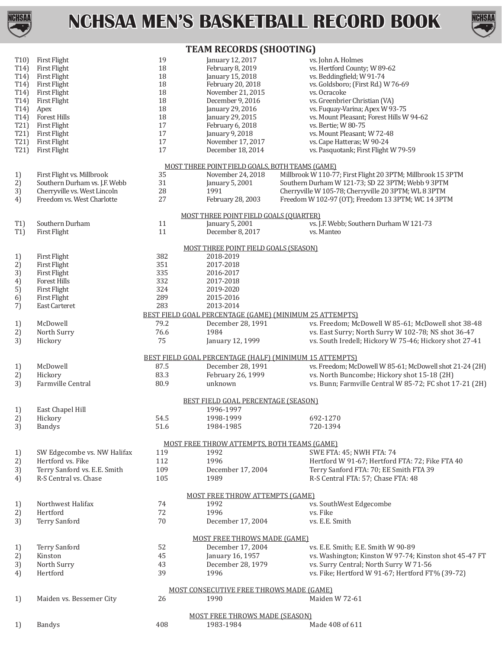



### **TEAM RECORDS (SHOOTING)**

| T10<br>T14)<br>T <sub>14</sub> )<br>T14)<br>T <sub>14</sub> )<br>T <sub>14</sub> )<br>T14)<br>T14)<br>T21<br>T21)<br>T21)<br>T21) | <b>First Flight</b><br><b>First Flight</b><br>First Flight<br>First Flight<br><b>First Flight</b><br>First Flight<br>Apex<br>Forest Hills<br><b>First Flight</b><br>First Flight<br><b>First Flight</b><br>First Flight | 19<br>18<br>18<br>18<br>18<br>18<br>18<br>18<br>$17\,$<br>$17\,$<br>17<br>17 | January 12, 2017<br>February 8, 2019<br>January 15, 2018<br>February 20, 2018<br>November 21, 2015<br>December 9, 2016<br>January 29, 2016<br>January 29, 2015<br>February 6, 2018<br>January 9, 2018<br>November 17, 2017<br>December 18, 2014 | vs. John A. Holmes<br>vs. Hertford County; W 89-62<br>vs. Beddingfield; W 91-74<br>vs. Goldsboro; (First Rd.) W 76-69<br>vs. Ocracoke<br>vs. Greenbrier Christian (VA)<br>vs. Fuquay-Varina; Apex W 93-75<br>vs. Mount Pleasant; Forest Hills W 94-62<br>vs. Bertie; W 80-75<br>vs. Mount Pleasant; W 72-48<br>vs. Cape Hatteras; W 90-24<br>vs. Pasquotank; First Flight W 79-59 |
|-----------------------------------------------------------------------------------------------------------------------------------|-------------------------------------------------------------------------------------------------------------------------------------------------------------------------------------------------------------------------|------------------------------------------------------------------------------|-------------------------------------------------------------------------------------------------------------------------------------------------------------------------------------------------------------------------------------------------|-----------------------------------------------------------------------------------------------------------------------------------------------------------------------------------------------------------------------------------------------------------------------------------------------------------------------------------------------------------------------------------|
|                                                                                                                                   |                                                                                                                                                                                                                         |                                                                              |                                                                                                                                                                                                                                                 |                                                                                                                                                                                                                                                                                                                                                                                   |
| 1)                                                                                                                                | First Flight vs. Millbrook                                                                                                                                                                                              | 35                                                                           | MOST THREE POINT FIELD GOALS, BOTH TEAMS (GAME)<br>November 24, 2018                                                                                                                                                                            | Millbrook W 110-77; First Flight 20 3PTM; Millbrook 15 3PTM                                                                                                                                                                                                                                                                                                                       |
| 2)                                                                                                                                | Southern Durham vs. J.F. Webb                                                                                                                                                                                           | 31                                                                           | January 5, 2001                                                                                                                                                                                                                                 | Southern Durham W 121-73; SD 22 3PTM; Webb 9 3PTM                                                                                                                                                                                                                                                                                                                                 |
| 3)                                                                                                                                | Cherryville vs. West Lincoln                                                                                                                                                                                            | 28                                                                           | 1991                                                                                                                                                                                                                                            | Cherryville W 105-78; Cherryville 20 3PTM; WL 8 3PTM                                                                                                                                                                                                                                                                                                                              |
| 4)                                                                                                                                | Freedom vs. West Charlotte                                                                                                                                                                                              | 27                                                                           | February 28, 2003                                                                                                                                                                                                                               | Freedom W 102-97 (OT); Freedom 13 3PTM; WC 14 3PTM                                                                                                                                                                                                                                                                                                                                |
|                                                                                                                                   |                                                                                                                                                                                                                         |                                                                              | MOST THREE POINT FIELD GOALS (QUARTER)                                                                                                                                                                                                          |                                                                                                                                                                                                                                                                                                                                                                                   |
| T1)                                                                                                                               | Southern Durham                                                                                                                                                                                                         | $11\,$                                                                       | January 5, 2001                                                                                                                                                                                                                                 | vs. J.F. Webb; Southern Durham W 121-73                                                                                                                                                                                                                                                                                                                                           |
| T1)                                                                                                                               | <b>First Flight</b>                                                                                                                                                                                                     | 11                                                                           | December 8, 2017                                                                                                                                                                                                                                | vs. Manteo                                                                                                                                                                                                                                                                                                                                                                        |
|                                                                                                                                   |                                                                                                                                                                                                                         |                                                                              | MOST THREE POINT FIELD GOALS (SEASON)                                                                                                                                                                                                           |                                                                                                                                                                                                                                                                                                                                                                                   |
| 1)                                                                                                                                | <b>First Flight</b>                                                                                                                                                                                                     | 382                                                                          | 2018-2019                                                                                                                                                                                                                                       |                                                                                                                                                                                                                                                                                                                                                                                   |
| 2)                                                                                                                                | First Flight                                                                                                                                                                                                            | 351                                                                          | 2017-2018                                                                                                                                                                                                                                       |                                                                                                                                                                                                                                                                                                                                                                                   |
| 3)                                                                                                                                | First Flight                                                                                                                                                                                                            | 335                                                                          | 2016-2017                                                                                                                                                                                                                                       |                                                                                                                                                                                                                                                                                                                                                                                   |
| 4)                                                                                                                                | Forest Hills                                                                                                                                                                                                            | 332                                                                          | 2017-2018                                                                                                                                                                                                                                       |                                                                                                                                                                                                                                                                                                                                                                                   |
| 5)                                                                                                                                | First Flight                                                                                                                                                                                                            | 324                                                                          | 2019-2020                                                                                                                                                                                                                                       |                                                                                                                                                                                                                                                                                                                                                                                   |
| 6)                                                                                                                                | <b>First Flight</b>                                                                                                                                                                                                     | 289                                                                          | 2015-2016                                                                                                                                                                                                                                       |                                                                                                                                                                                                                                                                                                                                                                                   |
| 7)                                                                                                                                | East Carteret                                                                                                                                                                                                           | 283                                                                          | 2013-2014                                                                                                                                                                                                                                       |                                                                                                                                                                                                                                                                                                                                                                                   |
|                                                                                                                                   |                                                                                                                                                                                                                         |                                                                              |                                                                                                                                                                                                                                                 | BEST FIELD GOAL PERCENTAGE (GAME) (MINIMUM 25 ATTEMPTS)                                                                                                                                                                                                                                                                                                                           |
| 1)                                                                                                                                | McDowell                                                                                                                                                                                                                | 79.2                                                                         | December 28, 1991                                                                                                                                                                                                                               | vs. Freedom; McDowell W 85-61; McDowell shot 38-48                                                                                                                                                                                                                                                                                                                                |
| 2)                                                                                                                                | North Surry                                                                                                                                                                                                             | 76.6                                                                         | 1984                                                                                                                                                                                                                                            | vs. East Surry; North Surry W 102-78; NS shot 36-47                                                                                                                                                                                                                                                                                                                               |
| 3)                                                                                                                                | Hickory                                                                                                                                                                                                                 | 75                                                                           | January 12, 1999                                                                                                                                                                                                                                | vs. South Iredell; Hickory W 75-46; Hickory shot 27-41                                                                                                                                                                                                                                                                                                                            |
|                                                                                                                                   |                                                                                                                                                                                                                         |                                                                              |                                                                                                                                                                                                                                                 | BEST FIELD GOAL PERCENTAGE (HALF) (MINIMUM 15 ATTEMPTS)                                                                                                                                                                                                                                                                                                                           |
| 1)                                                                                                                                | McDowell                                                                                                                                                                                                                | 87.5                                                                         | December 28, 1991                                                                                                                                                                                                                               | vs. Freedom; McDowell W 85-61; McDowell shot 21-24 (2H)                                                                                                                                                                                                                                                                                                                           |
| 2)                                                                                                                                | Hickory                                                                                                                                                                                                                 | 83.3                                                                         | February 26, 1999                                                                                                                                                                                                                               | vs. North Buncombe; Hickory shot 15-18 (2H)                                                                                                                                                                                                                                                                                                                                       |
| 3)                                                                                                                                | Farmville Central                                                                                                                                                                                                       | 80.9                                                                         | unknown                                                                                                                                                                                                                                         | vs. Bunn; Farmville Central W 85-72; FC shot 17-21 (2H)                                                                                                                                                                                                                                                                                                                           |
|                                                                                                                                   |                                                                                                                                                                                                                         |                                                                              |                                                                                                                                                                                                                                                 |                                                                                                                                                                                                                                                                                                                                                                                   |
| 1)                                                                                                                                | East Chapel Hill                                                                                                                                                                                                        |                                                                              | BEST FIELD GOAL PERCENTAGE (SEASON)<br>1996-1997                                                                                                                                                                                                |                                                                                                                                                                                                                                                                                                                                                                                   |
| 2)                                                                                                                                | Hickory                                                                                                                                                                                                                 | 54.5                                                                         | 1998-1999                                                                                                                                                                                                                                       | 692-1270                                                                                                                                                                                                                                                                                                                                                                          |
| 3)                                                                                                                                | <b>Bandys</b>                                                                                                                                                                                                           | 51.6                                                                         | 1984-1985                                                                                                                                                                                                                                       | 720-1394                                                                                                                                                                                                                                                                                                                                                                          |
|                                                                                                                                   |                                                                                                                                                                                                                         |                                                                              |                                                                                                                                                                                                                                                 |                                                                                                                                                                                                                                                                                                                                                                                   |
|                                                                                                                                   |                                                                                                                                                                                                                         |                                                                              | MOST FREE THROW ATTEMPTS, BOTH TEAMS (GAME)                                                                                                                                                                                                     |                                                                                                                                                                                                                                                                                                                                                                                   |
| 1)                                                                                                                                | SW Edgecombe vs. NW Halifax                                                                                                                                                                                             | 119                                                                          | 1992                                                                                                                                                                                                                                            | SWE FTA: 45; NWH FTA: 74                                                                                                                                                                                                                                                                                                                                                          |
| 2)                                                                                                                                | Hertford vs. Fike                                                                                                                                                                                                       | 112                                                                          | 1996                                                                                                                                                                                                                                            | Hertford W 91-67; Hertford FTA: 72; Fike FTA 40                                                                                                                                                                                                                                                                                                                                   |
| 3)                                                                                                                                | Terry Sanford vs. E.E. Smith<br>R-S Central vs. Chase                                                                                                                                                                   | 109<br>105                                                                   | December 17, 2004<br>1989                                                                                                                                                                                                                       | Terry Sanford FTA: 70; EE Smith FTA 39<br>R-S Central FTA: 57; Chase FTA: 48                                                                                                                                                                                                                                                                                                      |
| 4)                                                                                                                                |                                                                                                                                                                                                                         |                                                                              |                                                                                                                                                                                                                                                 |                                                                                                                                                                                                                                                                                                                                                                                   |
|                                                                                                                                   |                                                                                                                                                                                                                         |                                                                              | MOST FREE THROW ATTEMPTS (GAME)                                                                                                                                                                                                                 |                                                                                                                                                                                                                                                                                                                                                                                   |
| 1)                                                                                                                                | Northwest Halifax                                                                                                                                                                                                       | 74                                                                           | 1992                                                                                                                                                                                                                                            | vs. SouthWest Edgecombe                                                                                                                                                                                                                                                                                                                                                           |
| 2)                                                                                                                                | Hertford                                                                                                                                                                                                                | 72                                                                           | 1996                                                                                                                                                                                                                                            | vs. Fike                                                                                                                                                                                                                                                                                                                                                                          |
| 3)                                                                                                                                | Terry Sanford                                                                                                                                                                                                           | 70                                                                           | December 17, 2004                                                                                                                                                                                                                               | vs. E.E. Smith                                                                                                                                                                                                                                                                                                                                                                    |
|                                                                                                                                   |                                                                                                                                                                                                                         |                                                                              |                                                                                                                                                                                                                                                 |                                                                                                                                                                                                                                                                                                                                                                                   |
|                                                                                                                                   |                                                                                                                                                                                                                         |                                                                              | <b>MOST FREE THROWS MADE (GAME)</b>                                                                                                                                                                                                             |                                                                                                                                                                                                                                                                                                                                                                                   |
| 1)                                                                                                                                | Terry Sanford                                                                                                                                                                                                           | 52                                                                           | December 17, 2004                                                                                                                                                                                                                               | vs. E.E. Smith; E.E. Smith W 90-89                                                                                                                                                                                                                                                                                                                                                |
| 2)                                                                                                                                | Kinston                                                                                                                                                                                                                 | 45                                                                           | January 16, 1957                                                                                                                                                                                                                                | vs. Washington; Kinston W 97-74; Kinston shot 45-47 FT                                                                                                                                                                                                                                                                                                                            |
| 3)                                                                                                                                | North Surry<br>Hertford                                                                                                                                                                                                 | 43<br>39                                                                     | December 28, 1979<br>1996                                                                                                                                                                                                                       | vs. Surry Central; North Surry W 71-56<br>vs. Fike; Hertford W 91-67; Hertford FT% (39-72)                                                                                                                                                                                                                                                                                        |
| 4)                                                                                                                                |                                                                                                                                                                                                                         |                                                                              |                                                                                                                                                                                                                                                 |                                                                                                                                                                                                                                                                                                                                                                                   |
|                                                                                                                                   |                                                                                                                                                                                                                         |                                                                              | MOST CONSECUTIVE FREE THROWS MADE (GAME)                                                                                                                                                                                                        |                                                                                                                                                                                                                                                                                                                                                                                   |
| 1)                                                                                                                                | Maiden vs. Bessemer City                                                                                                                                                                                                | 26                                                                           | 1990                                                                                                                                                                                                                                            | Maiden W 72-61                                                                                                                                                                                                                                                                                                                                                                    |
|                                                                                                                                   |                                                                                                                                                                                                                         |                                                                              |                                                                                                                                                                                                                                                 |                                                                                                                                                                                                                                                                                                                                                                                   |
|                                                                                                                                   |                                                                                                                                                                                                                         |                                                                              | MOST FREE THROWS MADE (SEASON)                                                                                                                                                                                                                  |                                                                                                                                                                                                                                                                                                                                                                                   |
| 1)                                                                                                                                | <b>Bandys</b>                                                                                                                                                                                                           | 408                                                                          | 1983-1984                                                                                                                                                                                                                                       | Made 408 of 611                                                                                                                                                                                                                                                                                                                                                                   |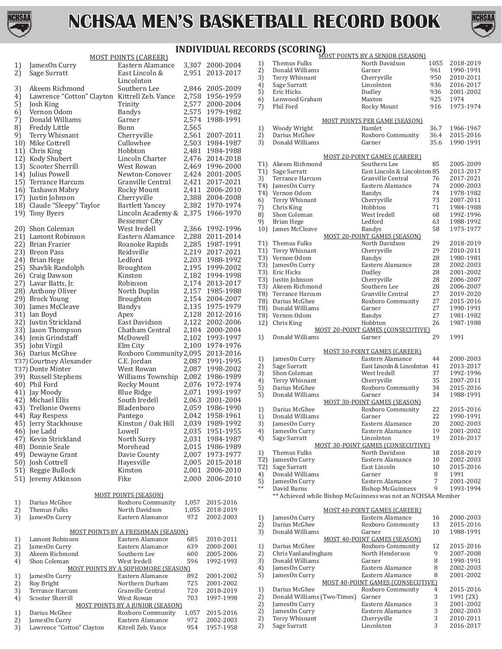



### **INDIVIDUAL RECORDS (SCORING)**

|          |                                               | <b>MOST POINTS (CAREER)</b>                                  |                |                                    |
|----------|-----------------------------------------------|--------------------------------------------------------------|----------------|------------------------------------|
| 1)       | JamesOn Curry                                 | Eastern Alamance                                             |                | 3,307 2000-2004                    |
| 2)       | Sage Surratt                                  | East Lincoln &                                               | 2,951          | 2013-2017                          |
|          |                                               | Lincolnton                                                   |                |                                    |
| 3)       | Akeem Richmond                                | Southern Lee                                                 |                | 2,846 2005-2009                    |
| 4)       | Lawrence "Cotton" Clayton Kittrell Zeb. Vance |                                                              |                | 2,758 1956-1959                    |
| 5)       | Josh King<br>Vernon Odom                      | Trinity<br><b>Bandys</b>                                     | 2,575          | 2,577 2000-2004<br>1979-1982       |
| 6)<br>7) | Donald Williams                               | Garner                                                       | 2,574          | 1988-1991                          |
| 8)       | Freddy Little                                 | Bunn                                                         | 2,565          |                                    |
| 9)       | Terry Whisnant                                | Cherryville                                                  | 2,561          | 2007-2011                          |
|          | 10) Mike Cottrell                             | Cullowhee                                                    | 2,503          | 1984-1987                          |
|          | 11) Chris King                                | Hobbton                                                      | 2,481          | 1984-1988                          |
|          | 12) Kody Shubert                              | Lincoln Charter                                              |                | 2,476 2014-2018                    |
|          | 13) Scooter Sherrill                          | West Rowan                                                   |                |                                    |
|          | 14) Julius Powell                             | Newton-Conover                                               |                | 2,469 1996-2000<br>2,424 2001-2005 |
|          | 15) Terrance Harcum                           | Granville Central                                            |                | 2,421 2017-2021                    |
|          | 16) Tashawn Mabry                             | Rocky Mount                                                  |                | 2,411 2006-2010                    |
|          | 17) Justin Johnson                            | Cherryville                                                  |                | 2,388 2004-2008                    |
|          | 18) Claude "Sleepy" Taylor                    | Bartlett Yancey                                              | 2,382          | 1970-1974                          |
|          | 19) Tony Byers                                | Lincoln Academy &                                            | 2,375          | 1966-1970                          |
|          |                                               | Bessemer City                                                |                |                                    |
|          | 20) Shon Coleman                              | West Iredell                                                 | 2,366          | 1992-1996                          |
|          | 21) Lamont Robinson                           | Eastern Alamance                                             | 2,288          | 2011-2014                          |
|          | 22) Brian Frazier                             | Roanoke Rapids                                               | 2,285          | 1987-1991                          |
|          | 23) Breon Pass                                | Reidsville                                                   |                | 2,219 2017-2021                    |
|          | 24) Brian Hege                                | Ledford                                                      | 2,203          | 1988-1992                          |
|          | 25) Shavlik Randolph                          | Broughton                                                    | 2,195          | 1999-2002                          |
|          | 26) Craig Dawson                              | Kinston                                                      | 2,182          | 1994-1998                          |
|          | 27) Lavar Batts, Jr.                          | Robinson                                                     | 2,174          | 2013-2017                          |
|          | 28) Anthony Oliver                            | North Duplin                                                 | 2,157          | 1985-1988                          |
|          | 29) Brock Young                               | <b>Broughton</b>                                             | 2,154          | 2004-2007                          |
|          | 30) James McCleave                            | Bandys                                                       | 2,135          | 1975-1979                          |
|          | 31) Ian Boyd                                  | Apex                                                         | 2,128          | 2012-2016                          |
|          | 32) Justin Strickland                         | East Davidson<br>Chatham Central                             | 2,122<br>2,104 | 2002-2006<br>2000-2004             |
|          | 33) Jason Thompson                            | McDowell                                                     | 2,102          | 1993-1997                          |
|          | 34) Jenis Grindstaff<br>35) John Virgil       | Elm City                                                     | 2,100          | 1974-1976                          |
|          | 36) Darius McGhee                             | Roxboro Community 2,095                                      |                | 2013-2016                          |
|          | T37) Courtney Alexander                       | C.E. Jordan                                                  | 2,087          | 1991-1995                          |
|          | T37) Donte Minter                             | West Rowan                                                   | 2,087          | 1998-2002                          |
|          | 39) Russell Stephens                          | Williams Township 2,082                                      |                | 1986-1989                          |
|          | 40) Phil Ford                                 | Rocky Mount                                                  | 2,076          | 1972-1974                          |
|          | 41) Jay Moody                                 | <b>Blue Ridge</b>                                            |                | 2,071 1993-1997                    |
|          | 42) Michael Ellis                             | South Iredell                                                |                | 2,063 2001-2004                    |
|          | 43) Trellonie Owens                           | Bladenboro                                                   |                | 2,059 1986-1990                    |
|          | 44) Ray Respess                               | Pantego                                                      | 2,042          | 1958-1961                          |
|          | 45) Jerry Stackhouse                          | Kinston / Oak Hill                                           | 2,039          | 1989-1992                          |
|          | 46) Joe Ladd                                  | Lowell                                                       | 2,035          | 1951-1955                          |
|          | 47) Kevin Strickland                          | North Surry                                                  | 2,031          | 1984-1987                          |
|          | 48) Donnie Seale                              | Morehead                                                     | 2,015          | 1986-1989                          |
|          | 49) Dewayne Grant                             | Davie County                                                 | 2,007          | 1973-1977                          |
|          | 50) Josh Cottrell                             | Hayesville                                                   | 2,005          | 2015-2018                          |
|          | 51) Reggie Bullock                            | Kinston                                                      | 2,001          | 2006-2010                          |
|          | 51) Jeremy Atkinson                           | Fike                                                         | 2,000          | 2006-2010                          |
|          |                                               |                                                              |                |                                    |
|          |                                               | <b>MOST POINTS (SEASON)</b>                                  |                |                                    |
| 1)       | Darius McGhee                                 | Roxboro Community                                            | 1,057          | 2015-2016                          |
| 2)       | <b>Themus Fulks</b>                           | North Davidson                                               | 1,055          | 2018-2019                          |
| 3)       | JamesOn Curry                                 | Eastern Alamance                                             | 972            | 2002-2003                          |
|          |                                               | <b>MOST POINTS BY A FRESHMAN (SEASON)</b>                    |                |                                    |
| 1)       | Lamont Robinson                               | Eastern Alamance                                             | 685            | 2010-2011                          |
| 2)       | JamesOn Curry                                 | Eastern Alamance                                             | 639            | 2000-2001                          |
| 3)       | Akeem Richmond                                | Southern Lee                                                 | 600            | 2005-2006                          |
| 4)       | Shon Coleman                                  | West Iredell                                                 | 596            | 1992-1993                          |
|          |                                               | <b>MOST POINTS BY A SOPHOMORE (SEASON)</b>                   |                |                                    |
| 1)       | JamesOn Curry                                 | Eastern Alamance                                             | 892            | 2001-2002                          |
| 2)       | Roy Bright                                    | Northern Durham                                              | 725            | 2001-2002                          |
| 3)       | Terrance Harcum                               | Granville Central                                            | 720            | 2018-2019                          |
| 4)       | Scooter Sherrill                              | West Rowan                                                   | 703            | 1997-1998                          |
| 1)       | Darius McGhee                                 | <b>MOST POINTS BY A JUNIOR (SEASON)</b><br>Roxboro Community | 1,057          | 2015-2016                          |
| 2)       | JamesOn Curry                                 | Eastern Alamance                                             | 972            | 2002-2003                          |
| 3)       | Lawrence "Cotton" Clayton                     | Kitrell Zeb. Vance                                           | 954            | 1957-1958                          |
|          |                                               |                                                              |                |                                    |

|                  | RDS (SCORING)       |                                                              |          |           |
|------------------|---------------------|--------------------------------------------------------------|----------|-----------|
|                  | Themus Fulks        | MOST POINTS BY A SENIOR (SEASON)<br>North Davidson           | 1055     | 2018-2019 |
| 1)<br>2)         | Donald Williams     | Garner                                                       | 961      | 1990-1991 |
| 3)               | Terry Whisnant      | Cherryville                                                  | 950      | 2010-2011 |
| 4)               | Sage Surratt        | Lincolnton                                                   | 936      | 2016-2017 |
| 5)               | <b>Eric Hicks</b>   | Dudley                                                       | 936      | 2001-2002 |
| 6)               | Lenwood Graham      | Maxton                                                       | 925      | 1974      |
| 7)               | Phil Ford           | Rocky Mount                                                  | 916      | 1973-1974 |
|                  |                     | <u>MOST POINTS PER GAME (SEASON)</u>                         |          |           |
| 1)               | Woody Wright        | Hamlet                                                       | 36.7     | 1966-1967 |
| 2)               | Darius McGhee       | Roxboro Community                                            | 36.4     | 2015-2016 |
| 3)               | Donald Williams     | Garner                                                       | 35.6     | 1990-1991 |
|                  |                     | <b>MOST 20-POINT GAMES (CAREER)</b>                          |          |           |
| T1)              | Akeem Richmond      | Southern Lee                                                 | 85       | 2005-2009 |
| T <sub>1</sub>   | Sage Surratt        | East Lincoln & Lincolnton 85                                 |          | 2013-2017 |
| 3)               | Terrance Harcum     | Granville Central                                            | 76       | 2017-2021 |
| T4)              | JamesOn Curry       | Eastern Alamance                                             | 74       | 2000-2003 |
| T4)              | Vernon Odom         | Bandys                                                       | 74       | 1978-1982 |
| 6)               | Terry Whisnant      | Cherryville                                                  | 73       | 2007-2011 |
| 7)               | Chris King          | Hobbton                                                      | 71       | 1984-1988 |
| 8)               | Shon Coleman        | West Iredell                                                 | 68       | 1992-1996 |
| 9)               | <b>Brian Hege</b>   | Ledford                                                      | 63       | 1988-1992 |
| 10)              | James McCleave      | <b>Bandys</b><br><b>MOST 20-POINT GAMES (SEASON)</b>         | 58       | 1973-1977 |
| T <sub>1</sub>   | Themus Fulks        | North Davidson                                               | 29       | 2018-2019 |
| T <sub>1</sub>   | Terry Whisnant      | Cherryville                                                  | 29       | 2010-2011 |
| T3)              | Vernon Odom         | Bandys                                                       | 28       | 1980-1981 |
| T3)              | JamesOn Curry       | Eastern Alamance                                             | 28       | 2002-2003 |
| T3)              | Eric Hicks          | Dudley                                                       | 28       | 2001-2002 |
| T3)              | Justin Johnson      | Cherryville                                                  | 28       | 2006-2007 |
| T3)              | Akeem Richmond      | Southern Lee                                                 | 28       | 2006-2007 |
| T8)              | Terrance Harcum     | Granville Central                                            | 27       | 2019-2020 |
| T8)              | Darius McGhee       | Roxboro Community                                            | 27       | 2015-2016 |
| T8)              | Donald Williams     | Garner                                                       | 27       | 1990-1991 |
| T8)              | Vernon Odom         | <b>Bandys</b>                                                | 27       | 1981-1982 |
| 12)              | Chris King          | Hobbton                                                      | 26       | 1987-1988 |
|                  |                     | MOST 20-POINT GAMES (CONSECUTIVE)                            |          |           |
| 1)               | Donald Williams     | Garner                                                       | 29       | 1991      |
|                  |                     | <b>MOST 30-POINT GAMES (CAREER)</b>                          |          |           |
| 1)               | JamesOn Curry       | Eastern Alamance                                             | 44       | 2000-2003 |
| 2)               | Sage Surratt        | East Lincoln & Lincolnton 41                                 |          | 2013-2017 |
| 3)               | Shon Coleman        | West Iredell                                                 | 37       | 1992-1996 |
| 4)               | Terry Whisnant      | Cherryville                                                  | 35       | 2007-2011 |
| 5)               | Darius McGhee       | Roxboro Community                                            | 34       | 2015-2016 |
| 5)               | Donald Williams     | Garner                                                       | 34       | 1988-1991 |
|                  | Darius McGhee       | <b>MOST 30-POINT GAMES (SEASON)</b><br>Roxboro Community     | 22       | 2015-2016 |
| 1)               | Donald Williams     |                                                              |          | 1990-1991 |
| 1)<br>3)         | JamesOn Curry       | Garner<br>Eastern Alamance                                   | 22<br>20 | 2002-2003 |
| 4)               | JamesOn Curry       | Eastern Alamance                                             | 19       | 2001-2002 |
| 4)               | Sage Surratt        | Lincolnton                                                   | 19       | 2016-2017 |
|                  |                     | MOST 30-POINT GAMES (CONSECUTIVE)                            |          |           |
| 1)               | Themus Fulks        | North Davidson                                               | 18       | 2018-2019 |
| T2)              | JamesOn Curry       | Eastern Alamance                                             | 10       | 2002-2003 |
| T <sub>2</sub> ) | Sage Surratt        | East Lincoln                                                 | 10       | 2015-2016 |
| 4)               | Donald Williams     | Garner                                                       | 8        | 1991      |
| 5)               | JamesOn Curry       | Eastern Alamance                                             | 7        | 2001-2002 |
| $**$             | David Burns         | <b>Bishop McGuinness</b>                                     | 9        | 1993-1994 |
|                  |                     | ** Achieved while Bishop McGuinness was not an NCHSAA Member |          |           |
|                  |                     | <b>MOST 40-POINT GAMES (CAREER)</b>                          |          |           |
| 1)               | JamesOn Curry       | Eastern Alamance                                             | 16       | 2000-2003 |
| 2)               | Darius McGhee       | Roxboro Community                                            | 13       | 2015-2016 |
| 3)               | Donald Williams     | Garner                                                       | 10       | 1988-1991 |
|                  |                     | MOST 40-POINT GAMES (SEASON)                                 |          |           |
| 1)               | Darius McGhee       | Roxboro Community                                            | 12       | 2015-2016 |
| 2)               | Chris Vanlandingham | North Henderson                                              | 9        | 2007-2008 |
| 3)               | Donald Williams     | Garner                                                       | 8        | 1990-1991 |
| 4)               | JamesOn Curry       | Eastern Alamance                                             | 8        | 2002-2003 |
| 5)               | JamesOn Curry       | Eastern Alamance                                             | 8        | 2001-2002 |
|                  |                     | <b>MOST 40-POINT GAMES (CONSECUTIVE)</b>                     |          |           |
| 1)               | Darius McGhee       | Roxboro Community                                            | 4        | 2015-2016 |

1) Darius McGhee Roxboro Community 4 2015-2016 2) Donald Williams (Two-Times) Garner 3 1991 (2X)<br>James On Curry Eastern Alamance 3 2001-2002 Frameson Curry Eastern Alamance 3 2001-2002<br>
Jameson Curry Eastern Alamance 3 2002-2003

Sage Surratt

2) Terry Whisnant Cherryville 3 2010-2011<br>
2016-2017<br>
2016-2017

Eastern Alamance  $\begin{array}{ccc} 3 & 2002\text{-}2003 \\ 3 & 2010\text{-}2011 \end{array}$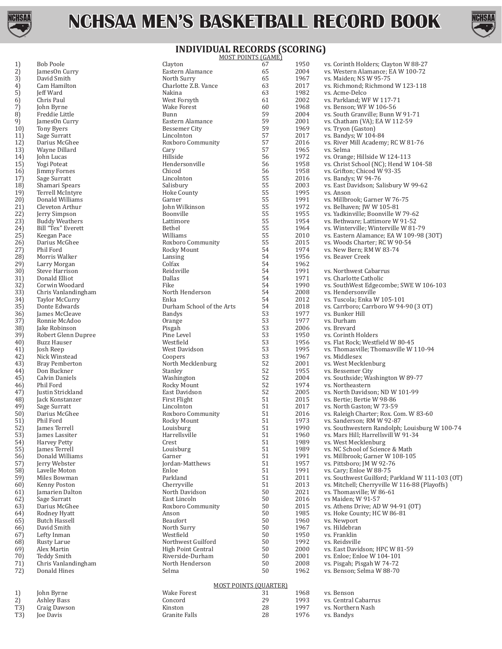



#### **INDIVIDUAL RECORDS (SCORING)**

|     |                       |                           | <u>MOST POINTS (GAME)</u>    |      |                                                 |
|-----|-----------------------|---------------------------|------------------------------|------|-------------------------------------------------|
| 1)  | Bob Poole             | Clayton                   | 67                           | 1950 | vs. Corinth Holders; Clayton W 88-27            |
| 2)  | JamesOn Curry         | Eastern Alamance          | 65                           | 2004 | vs. Western Alamance; EA W 100-72               |
| 3)  | David Smith           | North Surry               | 65                           | 1967 | vs. Maiden; NS W 95-75                          |
| 4)  | Cam Hamilton          | Charlotte Z.B. Vance      | 63                           | 2017 | vs. Richmond; Richmond W 123-118                |
| 5)  | Jeff Ward             | Nakina                    | 63                           | 1982 | vs. Acme-Delco                                  |
| 6)  | Chris Paul            | West Forsyth              | 61                           | 2002 | vs. Parkland; WF W 117-71                       |
| 7)  | John Byrne            | <b>Wake Forest</b>        | 60                           | 1968 | vs. Benson; WF W 106-56                         |
| 8)  | Freddie Little        | Bunn                      | 59                           | 2004 | vs. South Granville; Bunn W 91-71               |
| 9)  | JamesOn Curry         | Eastern Alamance          | 59                           | 2001 | vs. Chatham (VA); EA W 112-59                   |
|     |                       |                           | 59                           | 1969 |                                                 |
| 10) | Tony Byers            | <b>Bessemer City</b>      |                              |      | vs. Tryon (Gaston)                              |
| 11) | Sage Surratt          | Lincolnton                | 57                           | 2017 | vs. Bandys; W 104-84                            |
| 12) | Darius McGhee         | Roxboro Community         | 57                           | 2016 | vs. River Mill Academy; RC W 81-76              |
| 13) | Wayne Dillard         | Cary                      | 57                           | 1965 | vs. Selma                                       |
| 14) | John Lucas            | Hillside                  | 56                           | 1972 | vs. Orange; Hillside W 124-113                  |
| 15) | Yogi Poteat           | Hendersonville            | 56                           | 1958 | vs. Christ School (NC); Hend W 104-58           |
| 16) | Jimmy Fornes          | Chicod                    | 56                           | 1958 | vs. Grifton; Chicod W 93-35                     |
| 17) | Sage Surratt          | Lincolnton                | 55                           | 2016 | vs. Bandys; W 94-76                             |
| 18) | Shamari Spears        | Salisbury                 | 55                           | 2003 | vs. East Davidson; Salisbury W 99-62            |
| 19) | Terrell McIntyre      | Hoke County               | 55                           | 1995 | vs. Anson                                       |
| 20) | Donald Williams       | Garner                    | 55                           | 1991 | vs. Millbrook; Garner W 76-75                   |
| 21) | Cleveton Arthur       | John Wilkinson            | 55                           | 1972 | vs. Belhaven; JW W 105-81                       |
|     |                       |                           | 55                           |      |                                                 |
| 22) | Jerry Simpson         | Boonville                 |                              | 1955 | vs. Yadkinville; Boonville W 79-62              |
| 23) | <b>Buddy Weathers</b> | Lattimore                 | 55                           | 1954 | vs. Bethware; Lattimore W 91-52                 |
| 24) | Bill "Tex" Everett    | Bethel                    | 55                           | 1964 | vs. Winterville; Winterville W 81-79            |
| 25) | Keegan Pace           | Williams                  | 55                           | 2010 | vs. Eastern Alamance; EA W 109-98 (30T)         |
| 26) | Darius McGhee         | Roxboro Community         | 55                           | 2015 | vs. Woods Charter; RC W 90-54                   |
| 27) | Phil Ford             | Rocky Mount               | 54                           | 1974 | vs. New Bern; RM W 83-74                        |
| 28) | Morris Walker         | Lansing                   | 54                           | 1956 | vs. Beaver Creek                                |
| 29) | Larry Morgan          | Colfax                    | 54                           | 1962 |                                                 |
| 30) | Steve Harrison        | Reidsville                | 54                           | 1991 | vs. Northwest Cabarrus                          |
| 31) | Donald Elliot         | <b>Dallas</b>             | 54                           | 1971 | vs. Charlotte Catholic                          |
|     |                       |                           |                              |      |                                                 |
| 32) | Corwin Woodard        | Fike                      | 54                           | 1990 | vs. SouthWest Edgecombe; SWE W 106-103          |
| 33) | Chris Vanlandingham   | North Henderson           | 54                           | 2008 | vs. Hendersonville                              |
| 34) | <b>Taylor McCurry</b> | Enka                      | 54                           | 2012 | vs. Tuscola; Enka W 105-101                     |
| 35) | Donte Edwards         | Durham School of the Arts | 54                           | 2018 | vs. Carrboro; Carrboro W 94-90 (3 OT)           |
| 36) | James McCleave        | <b>Bandys</b>             | 53                           | 1977 | vs. Bunker Hill                                 |
| 37) | Ronnie McAdoo         | Orange                    | 53                           | 1977 | vs. Durham                                      |
| 38) | Jake Robinson         | Pisgah                    | 53                           | 2006 | vs. Brevard                                     |
| 39) | Robert Glenn Dupree   | Pine Level                | 53                           | 1950 | vs. Corinth Holders                             |
| 40) | <b>Buzz Hauser</b>    | Westfield                 | 53                           | 1956 | vs. Flat Rock; Westfield W 80-45                |
| 41) | Josh Reep             | West Davidson             | 53                           | 1995 | vs. Thomasville; Thomasville W 110-94           |
| 42) | Nick Winstead         | Coopers                   | 53                           | 1967 | vs. Middlesex                                   |
| 43) | <b>Bray Pemberton</b> | North Mecklenburg         | 52                           | 2001 | vs. West Mecklenburg                            |
|     | Don Buckner           | Stanley                   | 52                           | 1955 | vs. Bessemer City                               |
| 44) |                       |                           | 52                           |      |                                                 |
| 45) | Calvin Daniels        | Washington                |                              | 2004 | vs. Southside; Washington W 89-77               |
| 46) | Phil Ford             | Rocky Mount               | 52                           | 1974 | vs. Northeastern                                |
| 47) | Justin Strickland     | East Davidson             | 52                           | 2005 | vs. North Davidson; ND W 101-99                 |
| 48) | Jack Konstanzer       | First Flight              | 51                           | 2015 | vs. Bertie; Bertie W 98-86                      |
| 49) | Sage Surratt          | Lincolnton                | 51                           | 2017 | vs. North Gaston; W 73-59                       |
| 50) | Darius McGhee         | Roxboro Community         | 51                           | 2016 | vs. Raleigh Charter; Rox. Com. W 83-60          |
| 51) | Phil Ford             | Rocky Mount               | 51                           | 1973 | vs. Sanderson; RM W 92-87                       |
| 52) | James Terrell         | Louisburg                 | 51                           | 1990 | vs. Southwestern Randolph; Louisburg W 100-74   |
| 53) | James Lassiter        | Harrellsville             | 51                           | 1960 | vs. Mars Hill; Harrellsvill W 91-34             |
| 54) | <b>Harvey Petty</b>   | Crest                     | 51                           | 1989 | vs. West Mecklenburg                            |
| 55) | James Terrell         | Louisburg                 | 51                           | 1989 | vs. NC School of Science & Math                 |
| 56) | Donald Williams       | Garner                    | 51                           | 1991 | vs. Millbrook; Garner W 108-105                 |
|     | Jerry Webster         | Jordan-Matthews           | 51                           | 1957 | vs. Pittsboro; JM W 92-76                       |
| 57) |                       |                           | 51                           |      |                                                 |
| 58) | Lavelle Moton         | Enloe                     |                              | 1991 | vs. Cary; Enloe W 88-75                         |
| 59) | Miles Bowman          | Parkland                  | 51                           | 2011 | vs. Southwest Guilford; Parkland W 111-103 (OT) |
| 60) | Kenny Poston          | Cherryville               | 51                           | 2013 | vs. Mitchell; Cherryville W 116-88 (Playoffs)   |
| 61) | Jamarien Dalton       | North Davidson            | 50                           | 2021 | vs. Thomasville; W 86-61                        |
| 62) | Sage Surratt          | East Lincoln              | $50\,$                       | 2016 | vs Maiden; W 91-57                              |
| 63) | Darius McGhee         | Roxboro Community         | 50                           | 2015 | vs. Athens Drive; AD W 94-91 (OT)               |
| 64) | Rodney Hyatt          | Anson                     | $50\,$                       | 1985 | vs. Hoke County; HC W 86-81                     |
| 65) | <b>Butch Hassell</b>  | Beaufort                  | $50\,$                       | 1960 | vs. Newport                                     |
| 66) | David Smith           | North Surry               | 50                           | 1967 | vs. Hildebran                                   |
| 67) | Lefty Inman           | Westfield                 | 50                           | 1950 | vs. Franklin                                    |
| 68) | Rusty Larue           | Northwest Guilford        | 50                           | 1992 | vs. Reidsville                                  |
|     | Alex Martin           | High Point Central        | 50                           | 2000 | vs. East Davidson; HPC W 81-59                  |
| 69) |                       |                           |                              |      |                                                 |
| 70) | <b>Teddy Smith</b>    | Riverside-Durham          | 50                           | 2001 | vs. Enloe; Enloe W 104-101                      |
| 71) | Chris Vanlandingham   | North Henderson           | 50                           | 2008 | vs. Pisgah; Pisgah W 74-72                      |
| 72) | Donald Hines          | Selma                     | 50                           | 1962 | vs. Benson; Selma W 88-70                       |
|     |                       |                           |                              |      |                                                 |
|     |                       |                           | <b>MOST POINTS (QUARTER)</b> |      |                                                 |
| 1)  | John Byrne            | <b>Wake Forest</b>        | 31                           | 1968 | vs. Benson                                      |
| 2)  | <b>Ashley Bass</b>    | Concord                   | 29                           | 1993 | vs. Central Cabarrus                            |
| T3) | Craig Dawson          | Kinston                   | 28                           | 1997 | vs. Northern Nash                               |
| T3) | Joe Davis             | <b>Granite Falls</b>      | 28                           | 1976 | vs. Bandys                                      |
|     |                       |                           |                              |      |                                                 |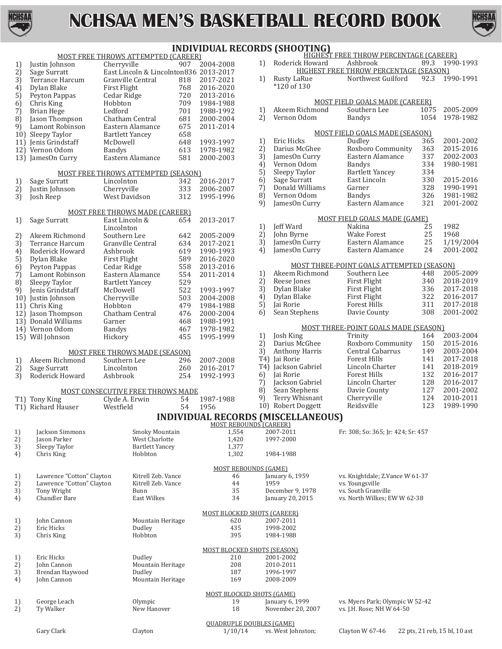



|              | <b>INDIVIDUAL RECORDS (SHOOTING)</b> |                                                             |            |                                    |                      |                                           |                                                    |            |                        |  |
|--------------|--------------------------------------|-------------------------------------------------------------|------------|------------------------------------|----------------------|-------------------------------------------|----------------------------------------------------|------------|------------------------|--|
|              |                                      | <b>MOST FREE THROWS ATTEMPTED (CAREER)</b>                  |            |                                    |                      |                                           | HIGHEST FREE THROW PERCENTAGE (CAREER)             |            |                        |  |
| 1)           | Justin Johnson                       | Cherryville                                                 | 907        | 2004-2008                          | 1)                   | Roderick Howard                           | Ashbrook<br>HIGHEST FREE THROW PERCENTAGE (SEASON) | 89.3       | 1990-1993              |  |
| 2)<br>3)     | Sage Surratt<br>Terrance Harcum      | East Lincoln & Lincolnton836 2013-2017<br>Granville Central | 818        | 2017-2021                          | 1)                   | Rusty LaRue                               | Northwest Guilford                                 | 92.3       | 1990-1991              |  |
| 4)           | Dylan Blake                          | First Flight                                                | 768        | 2016-2020                          |                      | *120 of 130                               |                                                    |            |                        |  |
| 5)           | Peyton Pappas                        | Cedar Ridge                                                 | 720        | 2013-2016                          |                      |                                           |                                                    |            |                        |  |
| 6)           | Chris King                           | Hobbton                                                     | 709        | 1984-1988                          |                      |                                           | MOST FIELD GOALS MADE (CAREER)                     |            |                        |  |
| 7)           | <b>Brian Hege</b>                    | Ledford                                                     | 701        | 1988-1992                          | 1)                   | Akeem Richmond                            | Southern Lee                                       | 1075       | 2005-2009              |  |
| 8)           | Jason Thompson                       | Chatham Central                                             | 681        | 2000-2004                          | 2)                   | Vernon Odom                               | <b>Bandys</b>                                      | 1054       | 1978-1982              |  |
| 9)           | Lamont Robinson                      | Eastern Alamance                                            | 675        | 2011-2014                          |                      |                                           |                                                    |            |                        |  |
| 10)          | Sleepy Taylor                        | <b>Bartlett Yancey</b>                                      | 658        |                                    |                      |                                           | MOST FIELD GOALS MADE (SEASON)                     |            |                        |  |
|              | 11) Jenis Grindstaff                 | McDowell                                                    | 648        | 1993-1997                          | 1)                   | Eric Hicks                                | Dudley                                             | 365        | 2001-2002              |  |
|              | 12) Vernon Odom                      | <b>Bandys</b>                                               | 613        | 1978-1982                          | 2)                   | Darius McGhee                             | Roxboro Community                                  | 363        | 2015-2016              |  |
|              | 13) JamesOn Curry                    | Eastern Alamance                                            | 581        | 2000-2003                          | $\overline{3}$<br>4) | JamesOn Curry<br>Vernon Odom              | Eastern Alamance<br><b>Bandys</b>                  | 337<br>334 | 2002-2003<br>1980-1981 |  |
|              |                                      | <b>MOST FREE THROWS ATTEMPTED (SEASON)</b>                  |            |                                    | 5)                   | Sleepy Taylor                             | <b>Bartlett Yancey</b>                             | 334        |                        |  |
| 1)           | Sage Surratt                         | Lincolnton                                                  | 342        | 2016-2017                          | 6)                   | Sage Surratt                              | East Lincoln                                       | 330        | 2015-2016              |  |
| $2\tilde{)}$ | Justin Johnson                       | Cherryville                                                 | 333        | 2006-2007                          | $\overline{7}$       | Donald Williams                           | Garner                                             | 328        | 1990-1991              |  |
| 3)           | Josh Reep                            | West Davidson                                               | 312        | 1995-1996                          | 8)                   | Vernon Odom                               | <b>Bandys</b>                                      | 326        | 1981-1982              |  |
|              |                                      |                                                             |            |                                    | 9)                   | JamesOn Curry                             | Eastern Alamance                                   | 321        | 2001-2002              |  |
|              |                                      | <b>MOST FREE THROWS MADE (CAREER)</b>                       |            |                                    |                      |                                           |                                                    |            |                        |  |
| 1)           | Sage Surratt                         | East Lincoln &                                              | 654        | 2013-2017                          |                      |                                           | MOST FIELD GOALS MADE (GAME)                       |            |                        |  |
|              |                                      | Lincolnton                                                  |            |                                    | 1)                   | <b>Jeff Ward</b>                          | Nakina                                             | 25         | 1982                   |  |
| 2)           | Akeem Richmond                       | Southern Lee                                                | 642        | 2005-2009                          | 2)                   | John Byrne                                | <b>Wake Forest</b>                                 | 25         | 1968                   |  |
| 3)           | <b>Terrance Harcum</b>               | Granville Central                                           | 634        | 2017-2021                          | 3)                   | JamesOn Curry                             | Eastern Alamance                                   | 25         | 1/19/2004              |  |
| 4)           | Roderick Howard                      | Ashbrook                                                    | 619        | 1990-1993                          | 4)                   | JamesOn Curry                             | Eastern Alamance                                   | 24         | 2001-2002              |  |
| 5)           | Dylan Blake                          | First Flight                                                | 589        | 2016-2020                          |                      |                                           | MOST THREE-POINT GOALS ATTEMPTED (SEASON)          |            |                        |  |
| 6)           | Peyton Pappas                        | Cedar Ridge                                                 | 558        | 2013-2016                          | 1)                   | Akeem Richmond                            | Southern Lee                                       | 448        | 2005-2009              |  |
| 7)<br>8)     | Lamont Robinson                      | Eastern Alamance                                            | 554<br>529 | 2011-2014                          | 2)                   | Reese Jones                               | First Flight                                       | 340        | 2018-2019              |  |
| 9)           | Sleepy Taylor<br>Jenis Grindstaff    | <b>Bartlett Yancey</b><br>McDowell                          | 522        | 1993-1997                          | 3)                   | Dylan Blake                               | First Flight                                       | 336        | 2017-2018              |  |
| 10)          | Justin Johnson                       | Cherryville                                                 | 503        | 2004-2008                          | 4)                   | Dylan Blake                               | First Flight                                       | 322        | 2016-2017              |  |
| 11)          | Chris King                           | Hobbton                                                     | 479        | 1984-1988                          | $\overline{5}$       | Jai Rorie                                 | <b>Forest Hills</b>                                | 311        | 2017-2018              |  |
|              | 12) Jason Thompson                   | Chatham Central                                             | 476        | 2000-2004                          | 6)                   | Sean Stephens                             | Davie County                                       | 308        | 2001-2002              |  |
|              | 13) Donald Williams                  | Garner                                                      | 468        | 1988-1991                          |                      |                                           |                                                    |            |                        |  |
|              | 14) Vernon Odom                      | <b>Bandys</b>                                               | 467        | 1978-1982                          |                      |                                           | MOST THREE-POINT GOALS MADE (SEASON)               |            |                        |  |
|              | 15) Will Johnson                     | Hickory                                                     | 455        | 1995-1999                          | 1)                   | Josh King                                 | Trinity                                            | 164        | 2003-2004              |  |
|              |                                      |                                                             |            |                                    | 2)                   | Darius McGhee                             | Roxboro Community                                  | 150        | 2015-2016              |  |
|              |                                      | <b>MOST FREE THROWS MADE (SEASON)</b>                       |            |                                    | 3)                   | <b>Anthony Harris</b>                     | Central Cabarrus                                   | 149        | 2003-2004              |  |
| 1)           | Akeem Richmond                       | Southern Lee                                                | 296        | 2007-2008                          |                      | T4) Jai Rorie                             | <b>Forest Hills</b>                                | 141        | 2017-2018              |  |
| 2)           | Sage Surratt                         | Lincolnton                                                  | 260        | 2016-2017                          | T4)                  | Jackson Gabriel<br>Jai Rorie              | Lincoln Charter                                    | 141<br>132 | 2018-2019<br>2016-2017 |  |
| 3)           | Roderick Howard                      | Ashbrook                                                    | 254        | 1992-1993                          | 6)<br>7)             | Jackson Gabriel                           | Forest Hills<br>Lincoln Charter                    | 128        | 2016-2017              |  |
|              |                                      | MOST CONSECUTIVE FREE THROWS MADE                           |            |                                    | 8)                   | Sean Stephens                             | Davie County                                       | 127        | 2001-2002              |  |
|              | T1) Tony King                        | Clyde A. Erwin                                              | 54         | 1987-1988                          | 9)                   | Terry Whisnant                            | Cherryville                                        | 124        | 2010-2011              |  |
|              | T1) Richard Hauser                   | Westfield                                                   | 54         | 1956                               |                      | 10) Robert Doggett                        | Reidsville                                         | 123        | 1989-1990              |  |
|              |                                      |                                                             |            |                                    |                      |                                           |                                                    |            |                        |  |
|              |                                      |                                                             |            | MOST REBOUNDS (CAREER)             |                      | <b>INDIVIDUAL RECORDS (MISCELLANEOUS)</b> |                                                    |            |                        |  |
| 1)           | Jackson Simmons                      | Smoky Mountain                                              |            | 1,554                              |                      | 2007-2011                                 | Fr: 308; So: 365; Jr: 424; Sr: 457                 |            |                        |  |
| 2)           | Jason Parker                         | West Charlotte                                              |            | 1,420                              |                      | 1997-2000                                 |                                                    |            |                        |  |
| 3)           | Sleepy Taylor                        | <b>Bartlett Yancey</b>                                      |            | 1,377                              |                      |                                           |                                                    |            |                        |  |
| 4)           | Chris King                           | Hobbton                                                     |            | 1,302                              |                      | 1984-1988                                 |                                                    |            |                        |  |
|              |                                      |                                                             |            |                                    |                      |                                           |                                                    |            |                        |  |
|              | Lawrence "Cotton" Clayton            | Kitrell Zeb. Vance                                          |            | <b>MOST REBOUNDS (GAME)</b><br>46  |                      | January 6, 1959                           | vs. Knightdale; Z. Vance W 61-37                   |            |                        |  |
| 1)<br>2)     | Lawrence "Cotton" Clayton            | Kitrell Zeb. Vance                                          |            | 44                                 |                      | 1959                                      | vs. Youngsville                                    |            |                        |  |
| 3)           | Tony Wright                          | Bunn                                                        |            | 35                                 |                      | December 9, 1978                          | vs. South Granville                                |            |                        |  |
| 4)           | Chandler Bare                        | <b>East Wilkes</b>                                          |            | 34                                 |                      | January 20, 2015                          | vs. North Wilkes; EW W 62-38                       |            |                        |  |
|              |                                      |                                                             |            |                                    |                      |                                           |                                                    |            |                        |  |
|              |                                      |                                                             |            | <b>MOST BLOCKED SHOTS (CAREER)</b> |                      |                                           |                                                    |            |                        |  |
| 1)           | John Cannon                          | Mountain Heritage                                           |            | 620                                |                      | 2007-2011                                 |                                                    |            |                        |  |
| 2)           | Eric Hicks                           | Dudley                                                      |            | 435                                |                      | 1998-2002                                 |                                                    |            |                        |  |
| 3)           | Chris King                           | Hobbton                                                     |            | 395                                |                      | 1984-1988                                 |                                                    |            |                        |  |
|              |                                      |                                                             |            | <b>MOST BLOCKED SHOTS (SEASON)</b> |                      |                                           |                                                    |            |                        |  |
| 1)           | Eric Hicks                           | Dudley                                                      |            | 210                                |                      | 2001-2002                                 |                                                    |            |                        |  |
| 2)           | John Cannon                          | Mountain Heritage                                           |            | 208                                |                      | 2010-2011                                 |                                                    |            |                        |  |
| 3)           | Brendan Haywood                      | Dudley                                                      |            | 187                                |                      | 1996-1997                                 |                                                    |            |                        |  |
| 4)           | John Cannon                          | Mountain Heritage                                           |            | 169                                |                      | 2008-2009                                 |                                                    |            |                        |  |
|              |                                      |                                                             |            | <b>MOST BLOCKED SHOTS (GAME)</b>   |                      |                                           |                                                    |            |                        |  |
| 1)           | George Leach                         | Olympic                                                     |            | 19                                 |                      | January 6, 1999                           | vs. Myers Park; Olympic W 52-42                    |            |                        |  |
| 2)           | Ty Walker                            | New Hanover                                                 |            | 18                                 |                      | November 20, 2007                         | vs. J.H. Rose; NH W 64-50                          |            |                        |  |
|              |                                      |                                                             |            |                                    |                      |                                           |                                                    |            |                        |  |

QUADRUPLE DOUBLES (GAME) Gary Clark Clayton Clayton 1/10/14 vs. West Johnston; Clayton W 67-46 22 pts, 21 reb, 15 bl, 10 ast